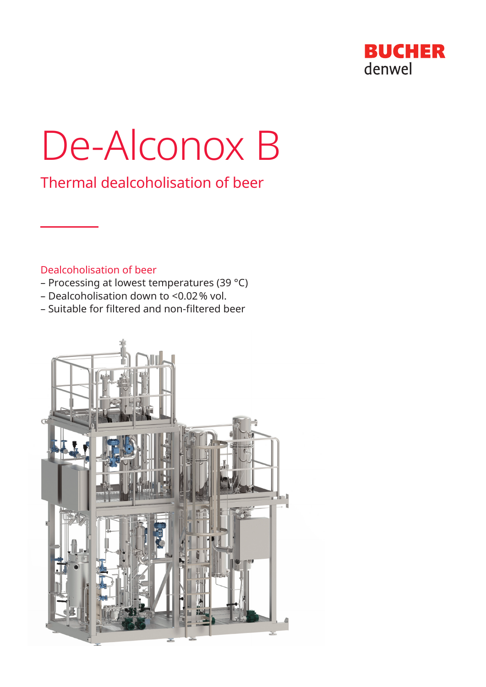

# De-Alconox B

Thermal dealcoholisation of beer

# Dealcoholisation of beer

- Processing at lowest temperatures (39 °C)
- Dealcoholisation down to <0.02% vol.
- Suitable for filtered and non-filtered beer